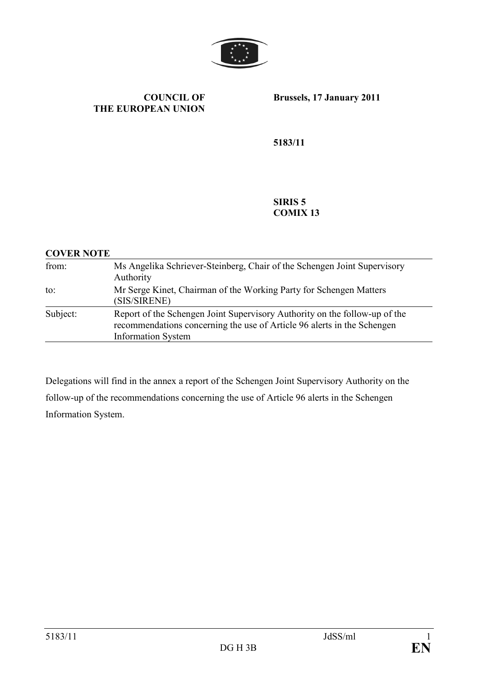

#### COUNCIL OF THE EUROPEAN UNION

Brussels, 17 January 2011

5183/11

#### SIRIS 5 COMIX 13

#### COVER NOTE

| from:    | Ms Angelika Schriever-Steinberg, Chair of the Schengen Joint Supervisory<br>Authority                                                                                              |
|----------|------------------------------------------------------------------------------------------------------------------------------------------------------------------------------------|
| to:      | Mr Serge Kinet, Chairman of the Working Party for Schengen Matters<br>(SIS/SIRENE)                                                                                                 |
| Subject: | Report of the Schengen Joint Supervisory Authority on the follow-up of the<br>recommendations concerning the use of Article 96 alerts in the Schengen<br><b>Information System</b> |

Delegations will find in the annex a report of the Schengen Joint Supervisory Authority on the follow-up of the recommendations concerning the use of Article 96 alerts in the Schengen Information System.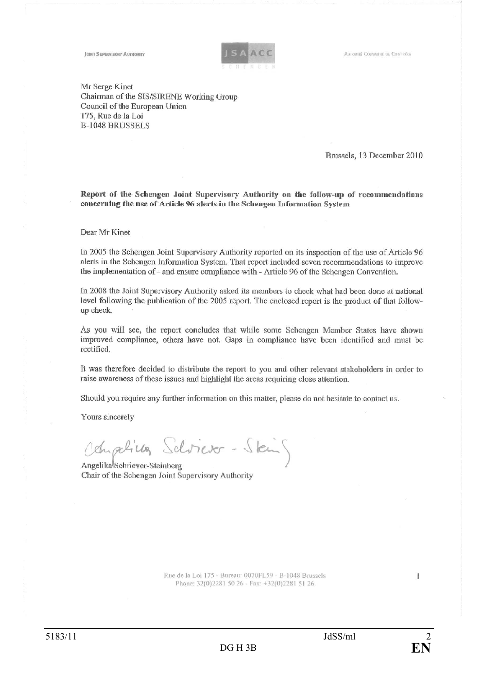AISTORTIE COMMUNE DE CONTRÔCE

**JOINT SUPERVISORY AUTHORITY** 



Mr Serge Kinet Chairman of the SIS/SIRENE Working Group Council of the European Union 175, Rue de la Loi **B-1048 BRUSSELS** 

Brussels, 13 December 2010

Report of the Schengen Joint Supervisory Authority on the follow-up of recommendations concerning the use of Article 96 alerts in the Schengen Information System

#### Dear Mr Kinet

In 2005 the Schengen Joint Supervisory Authority reported on its inspection of the use of Article 96 alerts in the Schengen Information System. That report included seven recommendations to improve the implementation of - and ensure compliance with - Article 96 of the Schengen Convention.

In 2008 the Joint Supervisory Authority asked its members to check what had been done at national level following the publication of the 2005 report. The enclosed report is the product of that followup check.

As you will see, the report concludes that while some Schengen Member States have shown improved compliance, others have not. Gaps in compliance have been identified and must be rectified.

It was therefore decided to distribute the report to you and other relevant stakeholders in order to raise awareness of these issues and highlight the areas requiring close attention.

Should you require any further information on this matter, please do not hesitate to contact us.

Yours sincerely

Oduphilles Schriever-Steing

Angelika<sup>l</sup>Schriever-Steinberg Chair of the Schengen Joint Supervisory Authority

> Rue de la Loi 175 - Bureau: 0070FL59 - B-1048 Brussels Phone: 32(0)2281 50 26 - Fax: +32(0)2281 51 26

 $\mathbf{1}$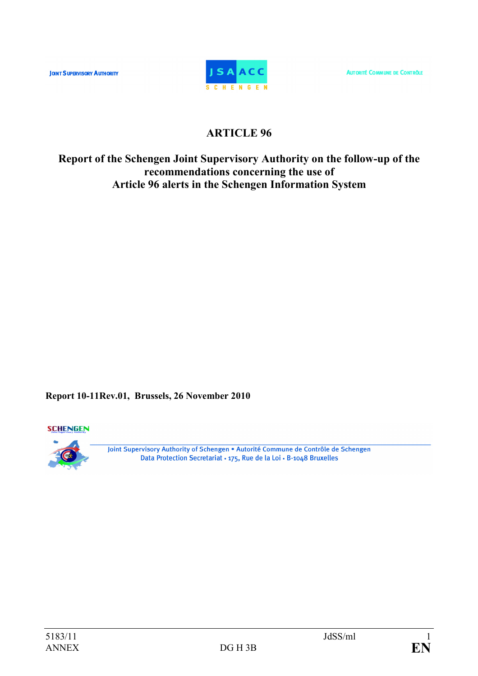**JOINT SUPERVISORY AUTHORITY** 



**AUTORITÉ COMMUNE DE CONTRÔLE** 

# ARTICLE 96

# Report of the Schengen Joint Supervisory Authority on the follow-up of the recommendations concerning the use of Article 96 alerts in the Schengen Information System

Report 10-11Rev.01, Brussels, 26 November 2010

**SCHENGEN** 



Joint Supervisory Authority of Schengen . Autorité Commune de Contrôle de Schengen Data Protection Secretariat · 175, Rue de la Loi · B-1048 Bruxelles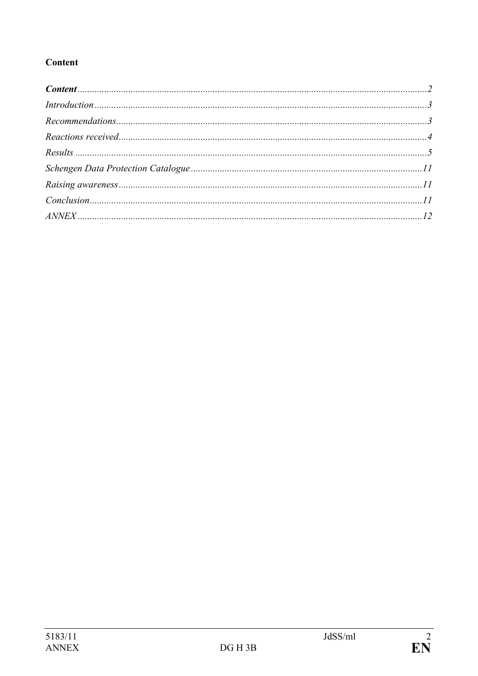# Content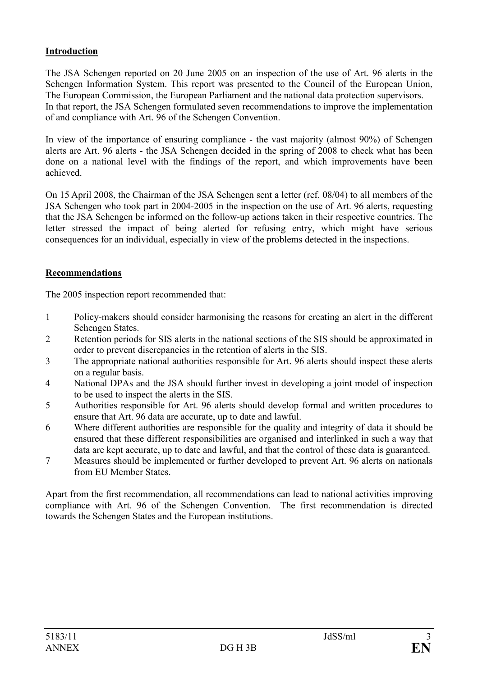# Introduction

The JSA Schengen reported on 20 June 2005 on an inspection of the use of Art. 96 alerts in the Schengen Information System. This report was presented to the Council of the European Union, The European Commission, the European Parliament and the national data protection supervisors. In that report, the JSA Schengen formulated seven recommendations to improve the implementation of and compliance with Art. 96 of the Schengen Convention.

In view of the importance of ensuring compliance - the vast majority (almost 90%) of Schengen alerts are Art. 96 alerts - the JSA Schengen decided in the spring of 2008 to check what has been done on a national level with the findings of the report, and which improvements have been achieved.

On 15 April 2008, the Chairman of the JSA Schengen sent a letter (ref. 08/04) to all members of the JSA Schengen who took part in 2004-2005 in the inspection on the use of Art. 96 alerts, requesting that the JSA Schengen be informed on the follow-up actions taken in their respective countries. The letter stressed the impact of being alerted for refusing entry, which might have serious consequences for an individual, especially in view of the problems detected in the inspections.

## Recommendations

The 2005 inspection report recommended that:

- 1 Policy-makers should consider harmonising the reasons for creating an alert in the different Schengen States.
- 2 Retention periods for SIS alerts in the national sections of the SIS should be approximated in order to prevent discrepancies in the retention of alerts in the SIS.
- 3 The appropriate national authorities responsible for Art. 96 alerts should inspect these alerts on a regular basis.
- 4 National DPAs and the JSA should further invest in developing a joint model of inspection to be used to inspect the alerts in the SIS.
- 5 Authorities responsible for Art. 96 alerts should develop formal and written procedures to ensure that Art. 96 data are accurate, up to date and lawful.
- 6 Where different authorities are responsible for the quality and integrity of data it should be ensured that these different responsibilities are organised and interlinked in such a way that data are kept accurate, up to date and lawful, and that the control of these data is guaranteed.
- 7 Measures should be implemented or further developed to prevent Art. 96 alerts on nationals from EU Member States.

Apart from the first recommendation, all recommendations can lead to national activities improving compliance with Art. 96 of the Schengen Convention. The first recommendation is directed towards the Schengen States and the European institutions.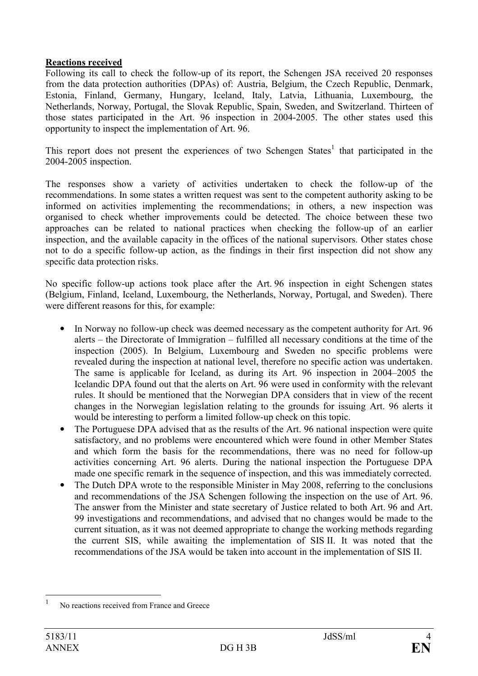### Reactions received

Following its call to check the follow-up of its report, the Schengen JSA received 20 responses from the data protection authorities (DPAs) of: Austria, Belgium, the Czech Republic, Denmark, Estonia, Finland, Germany, Hungary, Iceland, Italy, Latvia, Lithuania, Luxembourg, the Netherlands, Norway, Portugal, the Slovak Republic, Spain, Sweden, and Switzerland. Thirteen of those states participated in the Art. 96 inspection in 2004-2005. The other states used this opportunity to inspect the implementation of Art. 96.

This report does not present the experiences of two Schengen States<sup>1</sup> that participated in the 2004-2005 inspection.

The responses show a variety of activities undertaken to check the follow-up of the recommendations. In some states a written request was sent to the competent authority asking to be informed on activities implementing the recommendations; in others, a new inspection was organised to check whether improvements could be detected. The choice between these two approaches can be related to national practices when checking the follow-up of an earlier inspection, and the available capacity in the offices of the national supervisors. Other states chose not to do a specific follow-up action, as the findings in their first inspection did not show any specific data protection risks.

No specific follow-up actions took place after the Art. 96 inspection in eight Schengen states (Belgium, Finland, Iceland, Luxembourg, the Netherlands, Norway, Portugal, and Sweden). There were different reasons for this, for example:

- In Norway no follow-up check was deemed necessary as the competent authority for Art. 96 alerts – the Directorate of Immigration – fulfilled all necessary conditions at the time of the inspection (2005). In Belgium, Luxembourg and Sweden no specific problems were revealed during the inspection at national level, therefore no specific action was undertaken. The same is applicable for Iceland, as during its Art. 96 inspection in 2004–2005 the Icelandic DPA found out that the alerts on Art. 96 were used in conformity with the relevant rules. It should be mentioned that the Norwegian DPA considers that in view of the recent changes in the Norwegian legislation relating to the grounds for issuing Art. 96 alerts it would be interesting to perform a limited follow-up check on this topic.
- The Portuguese DPA advised that as the results of the Art. 96 national inspection were quite satisfactory, and no problems were encountered which were found in other Member States and which form the basis for the recommendations, there was no need for follow-up activities concerning Art. 96 alerts. During the national inspection the Portuguese DPA made one specific remark in the sequence of inspection, and this was immediately corrected.
- The Dutch DPA wrote to the responsible Minister in May 2008, referring to the conclusions and recommendations of the JSA Schengen following the inspection on the use of Art. 96. The answer from the Minister and state secretary of Justice related to both Art. 96 and Art. 99 investigations and recommendations, and advised that no changes would be made to the current situation, as it was not deemed appropriate to change the working methods regarding the current SIS, while awaiting the implementation of SIS II. It was noted that the recommendations of the JSA would be taken into account in the implementation of SIS II.

 $\frac{1}{1}$ No reactions received from France and Greece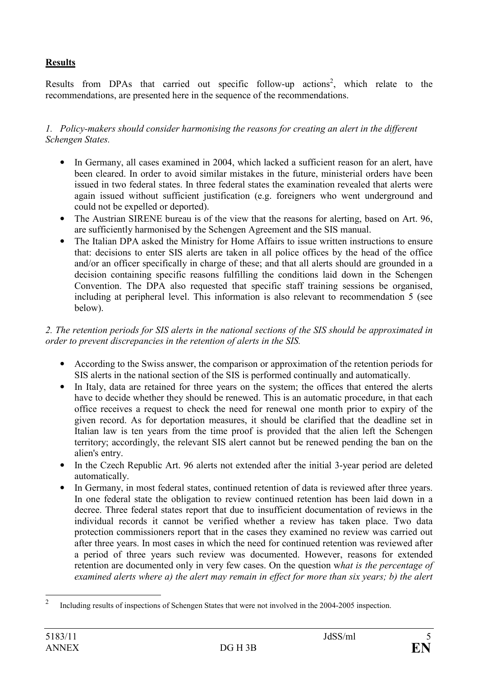# **Results**

Results from DPAs that carried out specific follow-up actions<sup>2</sup>, which relate to the recommendations, are presented here in the sequence of the recommendations.

### 1. Policy-makers should consider harmonising the reasons for creating an alert in the different Schengen States.

- In Germany, all cases examined in 2004, which lacked a sufficient reason for an alert, have been cleared. In order to avoid similar mistakes in the future, ministerial orders have been issued in two federal states. In three federal states the examination revealed that alerts were again issued without sufficient justification (e.g. foreigners who went underground and could not be expelled or deported).
- The Austrian SIRENE bureau is of the view that the reasons for alerting, based on Art. 96, are sufficiently harmonised by the Schengen Agreement and the SIS manual.
- The Italian DPA asked the Ministry for Home Affairs to issue written instructions to ensure that: decisions to enter SIS alerts are taken in all police offices by the head of the office and/or an officer specifically in charge of these; and that all alerts should are grounded in a decision containing specific reasons fulfilling the conditions laid down in the Schengen Convention. The DPA also requested that specific staff training sessions be organised, including at peripheral level. This information is also relevant to recommendation 5 (see below).

### 2. The retention periods for SIS alerts in the national sections of the SIS should be approximated in order to prevent discrepancies in the retention of alerts in the SIS.

- According to the Swiss answer, the comparison or approximation of the retention periods for SIS alerts in the national section of the SIS is performed continually and automatically.
- In Italy, data are retained for three years on the system; the offices that entered the alerts have to decide whether they should be renewed. This is an automatic procedure, in that each office receives a request to check the need for renewal one month prior to expiry of the given record. As for deportation measures, it should be clarified that the deadline set in Italian law is ten years from the time proof is provided that the alien left the Schengen territory; accordingly, the relevant SIS alert cannot but be renewed pending the ban on the alien's entry.
- In the Czech Republic Art. 96 alerts not extended after the initial 3-year period are deleted automatically.
- In Germany, in most federal states, continued retention of data is reviewed after three years. In one federal state the obligation to review continued retention has been laid down in a decree. Three federal states report that due to insufficient documentation of reviews in the individual records it cannot be verified whether a review has taken place. Two data protection commissioners report that in the cases they examined no review was carried out after three years. In most cases in which the need for continued retention was reviewed after a period of three years such review was documented. However, reasons for extended retention are documented only in very few cases. On the question what is the percentage of examined alerts where a) the alert may remain in effect for more than six years; b) the alert

 $\frac{1}{2}$ Including results of inspections of Schengen States that were not involved in the 2004-2005 inspection.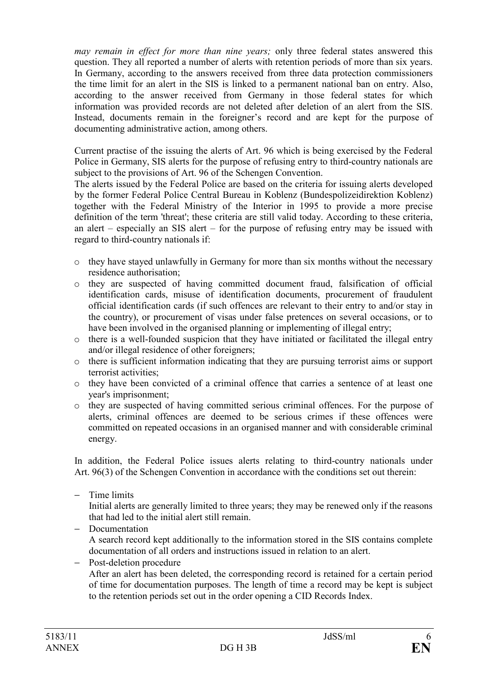may remain in effect for more than nine years; only three federal states answered this question. They all reported a number of alerts with retention periods of more than six years. In Germany, according to the answers received from three data protection commissioners the time limit for an alert in the SIS is linked to a permanent national ban on entry. Also, according to the answer received from Germany in those federal states for which information was provided records are not deleted after deletion of an alert from the SIS. Instead, documents remain in the foreigner's record and are kept for the purpose of documenting administrative action, among others.

Current practise of the issuing the alerts of Art. 96 which is being exercised by the Federal Police in Germany, SIS alerts for the purpose of refusing entry to third-country nationals are subject to the provisions of Art. 96 of the Schengen Convention.

The alerts issued by the Federal Police are based on the criteria for issuing alerts developed by the former Federal Police Central Bureau in Koblenz (Bundespolizeidirektion Koblenz) together with the Federal Ministry of the Interior in 1995 to provide a more precise definition of the term 'threat'; these criteria are still valid today. According to these criteria, an alert – especially an SIS alert – for the purpose of refusing entry may be issued with regard to third-country nationals if:

- o they have stayed unlawfully in Germany for more than six months without the necessary residence authorisation;
- o they are suspected of having committed document fraud, falsification of official identification cards, misuse of identification documents, procurement of fraudulent official identification cards (if such offences are relevant to their entry to and/or stay in the country), or procurement of visas under false pretences on several occasions, or to have been involved in the organised planning or implementing of illegal entry;
- o there is a well-founded suspicion that they have initiated or facilitated the illegal entry and/or illegal residence of other foreigners;
- o there is sufficient information indicating that they are pursuing terrorist aims or support terrorist activities;
- o they have been convicted of a criminal offence that carries a sentence of at least one year's imprisonment;
- o they are suspected of having committed serious criminal offences. For the purpose of alerts, criminal offences are deemed to be serious crimes if these offences were committed on repeated occasions in an organised manner and with considerable criminal energy.

In addition, the Federal Police issues alerts relating to third-country nationals under Art. 96(3) of the Schengen Convention in accordance with the conditions set out therein:

− Time limits

Initial alerts are generally limited to three years; they may be renewed only if the reasons that had led to the initial alert still remain.

- − Documentation A search record kept additionally to the information stored in the SIS contains complete documentation of all orders and instructions issued in relation to an alert.
- − Post-deletion procedure After an alert has been deleted, the corresponding record is retained for a certain period of time for documentation purposes. The length of time a record may be kept is subject to the retention periods set out in the order opening a CID Records Index.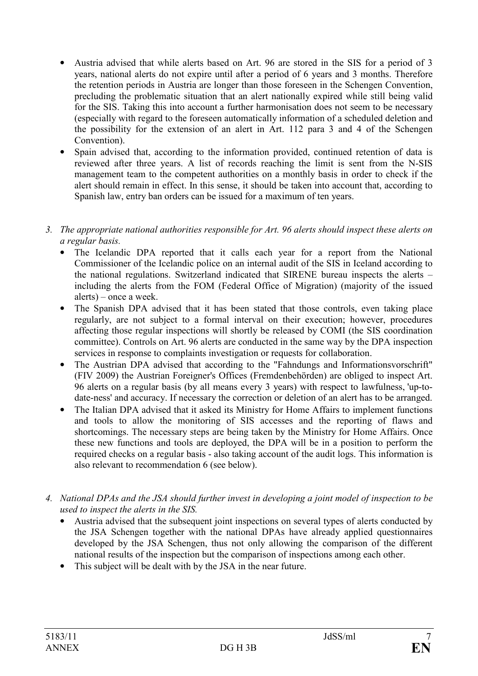- Austria advised that while alerts based on Art. 96 are stored in the SIS for a period of 3 years, national alerts do not expire until after a period of 6 years and 3 months. Therefore the retention periods in Austria are longer than those foreseen in the Schengen Convention, precluding the problematic situation that an alert nationally expired while still being valid for the SIS. Taking this into account a further harmonisation does not seem to be necessary (especially with regard to the foreseen automatically information of a scheduled deletion and the possibility for the extension of an alert in Art. 112 para 3 and 4 of the Schengen Convention).
- Spain advised that, according to the information provided, continued retention of data is reviewed after three years. A list of records reaching the limit is sent from the N-SIS management team to the competent authorities on a monthly basis in order to check if the alert should remain in effect. In this sense, it should be taken into account that, according to Spanish law, entry ban orders can be issued for a maximum of ten years.
- 3. The appropriate national authorities responsible for Art. 96 alerts should inspect these alerts on a regular basis.
	- The Icelandic DPA reported that it calls each year for a report from the National Commissioner of the Icelandic police on an internal audit of the SIS in Iceland according to the national regulations. Switzerland indicated that SIRENE bureau inspects the alerts – including the alerts from the FOM (Federal Office of Migration) (majority of the issued alerts) – once a week.
	- The Spanish DPA advised that it has been stated that those controls, even taking place regularly, are not subject to a formal interval on their execution; however, procedures affecting those regular inspections will shortly be released by COMI (the SIS coordination committee). Controls on Art. 96 alerts are conducted in the same way by the DPA inspection services in response to complaints investigation or requests for collaboration.
	- The Austrian DPA advised that according to the "Fahndungs and Informationsvorschrift" (FIV 2009) the Austrian Foreigner's Offices (Fremdenbehörden) are obliged to inspect Art. 96 alerts on a regular basis (by all means every 3 years) with respect to lawfulness, 'up-todate-ness' and accuracy. If necessary the correction or deletion of an alert has to be arranged.
	- The Italian DPA advised that it asked its Ministry for Home Affairs to implement functions and tools to allow the monitoring of SIS accesses and the reporting of flaws and shortcomings. The necessary steps are being taken by the Ministry for Home Affairs. Once these new functions and tools are deployed, the DPA will be in a position to perform the required checks on a regular basis - also taking account of the audit logs. This information is also relevant to recommendation 6 (see below).
- 4. National DPAs and the JSA should further invest in developing a joint model of inspection to be used to inspect the alerts in the SIS.
	- Austria advised that the subsequent joint inspections on several types of alerts conducted by the JSA Schengen together with the national DPAs have already applied questionnaires developed by the JSA Schengen, thus not only allowing the comparison of the different national results of the inspection but the comparison of inspections among each other.
	- This subject will be dealt with by the JSA in the near future.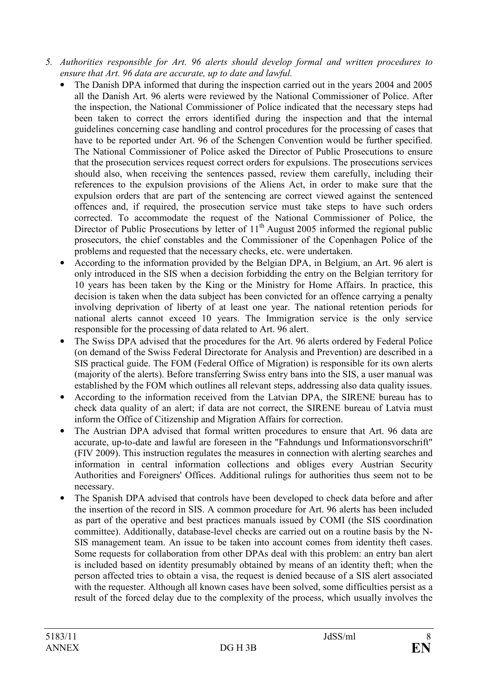- 5. Authorities responsible for Art. 96 alerts should develop formal and written procedures to ensure that Art. 96 data are accurate, up to date and lawful.
	- The Danish DPA informed that during the inspection carried out in the years 2004 and 2005 all the Danish Art. 96 alerts were reviewed by the National Commissioner of Police. After the inspection, the National Commissioner of Police indicated that the necessary steps had been taken to correct the errors identified during the inspection and that the internal guidelines concerning case handling and control procedures for the processing of cases that have to be reported under Art. 96 of the Schengen Convention would be further specified. The National Commissioner of Police asked the Director of Public Prosecutions to ensure that the prosecution services request correct orders for expulsions. The prosecutions services should also, when receiving the sentences passed, review them carefully, including their references to the expulsion provisions of the Aliens Act, in order to make sure that the expulsion orders that are part of the sentencing are correct viewed against the sentenced offences and, if required, the prosecution service must take steps to have such orders corrected. To accommodate the request of the National Commissioner of Police, the Director of Public Prosecutions by letter of  $11<sup>th</sup>$  August 2005 informed the regional public prosecutors, the chief constables and the Commissioner of the Copenhagen Police of the problems and requested that the necessary checks, etc. were undertaken.
	- According to the information provided by the Belgian DPA, in Belgium, an Art. 96 alert is only introduced in the SIS when a decision forbidding the entry on the Belgian territory for 10 years has been taken by the King or the Ministry for Home Affairs. In practice, this decision is taken when the data subject has been convicted for an offence carrying a penalty involving deprivation of liberty of at least one year. The national retention periods for national alerts cannot exceed 10 years. The Immigration service is the only service responsible for the processing of data related to Art. 96 alert.
	- The Swiss DPA advised that the procedures for the Art. 96 alerts ordered by Federal Police (on demand of the Swiss Federal Directorate for Analysis and Prevention) are described in a SIS practical guide. The FOM (Federal Office of Migration) is responsible for its own alerts (majority of the alerts). Before transferring Swiss entry bans into the SIS, a user manual was established by the FOM which outlines all relevant steps, addressing also data quality issues.
	- According to the information received from the Latvian DPA, the SIRENE bureau has to check data quality of an alert; if data are not correct, the SIRENE bureau of Latvia must inform the Office of Citizenship and Migration Affairs for correction.
	- The Austrian DPA advised that formal written procedures to ensure that Art. 96 data are accurate, up-to-date and lawful are foreseen in the "Fahndungs und Informationsvorschrift" (FIV 2009). This instruction regulates the measures in connection with alerting searches and information in central information collections and obliges every Austrian Security Authorities and Foreigners' Offices. Additional rulings for authorities thus seem not to be necessary.
	- The Spanish DPA advised that controls have been developed to check data before and after the insertion of the record in SIS. A common procedure for Art. 96 alerts has been included as part of the operative and best practices manuals issued by COMI (the SIS coordination committee). Additionally, database-level checks are carried out on a routine basis by the N-SIS management team. An issue to be taken into account comes from identity theft cases. Some requests for collaboration from other DPAs deal with this problem: an entry ban alert is included based on identity presumably obtained by means of an identity theft; when the person affected tries to obtain a visa, the request is denied because of a SIS alert associated with the requester. Although all known cases have been solved, some difficulties persist as a result of the forced delay due to the complexity of the process, which usually involves the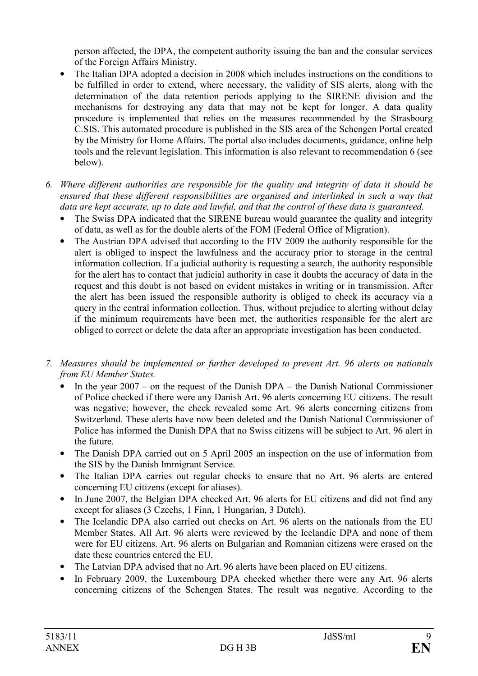person affected, the DPA, the competent authority issuing the ban and the consular services of the Foreign Affairs Ministry.

- The Italian DPA adopted a decision in 2008 which includes instructions on the conditions to be fulfilled in order to extend, where necessary, the validity of SIS alerts, along with the determination of the data retention periods applying to the SIRENE division and the mechanisms for destroying any data that may not be kept for longer. A data quality procedure is implemented that relies on the measures recommended by the Strasbourg C.SIS. This automated procedure is published in the SIS area of the Schengen Portal created by the Ministry for Home Affairs. The portal also includes documents, guidance, online help tools and the relevant legislation. This information is also relevant to recommendation 6 (see below).
- 6. Where different authorities are responsible for the quality and integrity of data it should be ensured that these different responsibilities are organised and interlinked in such a way that data are kept accurate, up to date and lawful, and that the control of these data is guaranteed.
	- The Swiss DPA indicated that the SIRENE bureau would guarantee the quality and integrity of data, as well as for the double alerts of the FOM (Federal Office of Migration).
	- The Austrian DPA advised that according to the FIV 2009 the authority responsible for the alert is obliged to inspect the lawfulness and the accuracy prior to storage in the central information collection. If a judicial authority is requesting a search, the authority responsible for the alert has to contact that judicial authority in case it doubts the accuracy of data in the request and this doubt is not based on evident mistakes in writing or in transmission. After the alert has been issued the responsible authority is obliged to check its accuracy via a query in the central information collection. Thus, without prejudice to alerting without delay if the minimum requirements have been met, the authorities responsible for the alert are obliged to correct or delete the data after an appropriate investigation has been conducted.
- 7. Measures should be implemented or further developed to prevent Art. 96 alerts on nationals from EU Member States.
	- In the year  $2007 -$  on the request of the Danish DPA the Danish National Commissioner of Police checked if there were any Danish Art. 96 alerts concerning EU citizens. The result was negative; however, the check revealed some Art. 96 alerts concerning citizens from Switzerland. These alerts have now been deleted and the Danish National Commissioner of Police has informed the Danish DPA that no Swiss citizens will be subject to Art. 96 alert in the future.
	- The Danish DPA carried out on 5 April 2005 an inspection on the use of information from the SIS by the Danish Immigrant Service.
	- The Italian DPA carries out regular checks to ensure that no Art. 96 alerts are entered concerning EU citizens (except for aliases).
	- In June 2007, the Belgian DPA checked Art. 96 alerts for EU citizens and did not find any except for aliases (3 Czechs, 1 Finn, 1 Hungarian, 3 Dutch).
	- The Icelandic DPA also carried out checks on Art. 96 alerts on the nationals from the EU Member States. All Art. 96 alerts were reviewed by the Icelandic DPA and none of them were for EU citizens. Art. 96 alerts on Bulgarian and Romanian citizens were erased on the date these countries entered the EU.
	- The Latvian DPA advised that no Art. 96 alerts have been placed on EU citizens.
	- In February 2009, the Luxembourg DPA checked whether there were any Art. 96 alerts concerning citizens of the Schengen States. The result was negative. According to the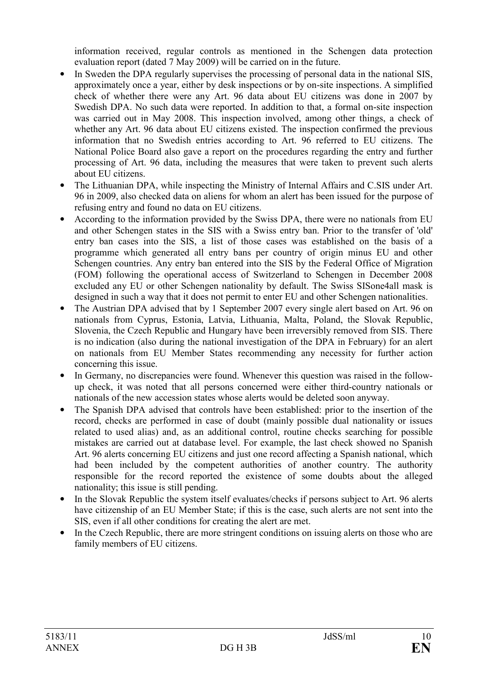information received, regular controls as mentioned in the Schengen data protection evaluation report (dated 7 May 2009) will be carried on in the future.

- In Sweden the DPA regularly supervises the processing of personal data in the national SIS, approximately once a year, either by desk inspections or by on-site inspections. A simplified check of whether there were any Art. 96 data about EU citizens was done in 2007 by Swedish DPA. No such data were reported. In addition to that, a formal on-site inspection was carried out in May 2008. This inspection involved, among other things, a check of whether any Art. 96 data about EU citizens existed. The inspection confirmed the previous information that no Swedish entries according to Art. 96 referred to EU citizens. The National Police Board also gave a report on the procedures regarding the entry and further processing of Art. 96 data, including the measures that were taken to prevent such alerts about EU citizens.
- The Lithuanian DPA, while inspecting the Ministry of Internal Affairs and C.SIS under Art. 96 in 2009, also checked data on aliens for whom an alert has been issued for the purpose of refusing entry and found no data on EU citizens.
- According to the information provided by the Swiss DPA, there were no nationals from EU and other Schengen states in the SIS with a Swiss entry ban. Prior to the transfer of 'old' entry ban cases into the SIS, a list of those cases was established on the basis of a programme which generated all entry bans per country of origin minus EU and other Schengen countries. Any entry ban entered into the SIS by the Federal Office of Migration (FOM) following the operational access of Switzerland to Schengen in December 2008 excluded any EU or other Schengen nationality by default. The Swiss SISone4all mask is designed in such a way that it does not permit to enter EU and other Schengen nationalities.
- The Austrian DPA advised that by 1 September 2007 every single alert based on Art. 96 on nationals from Cyprus, Estonia, Latvia, Lithuania, Malta, Poland, the Slovak Republic, Slovenia, the Czech Republic and Hungary have been irreversibly removed from SIS. There is no indication (also during the national investigation of the DPA in February) for an alert on nationals from EU Member States recommending any necessity for further action concerning this issue.
- In Germany, no discrepancies were found. Whenever this question was raised in the followup check, it was noted that all persons concerned were either third-country nationals or nationals of the new accession states whose alerts would be deleted soon anyway.
- The Spanish DPA advised that controls have been established: prior to the insertion of the record, checks are performed in case of doubt (mainly possible dual nationality or issues related to used alias) and, as an additional control, routine checks searching for possible mistakes are carried out at database level. For example, the last check showed no Spanish Art. 96 alerts concerning EU citizens and just one record affecting a Spanish national, which had been included by the competent authorities of another country. The authority responsible for the record reported the existence of some doubts about the alleged nationality; this issue is still pending.
- In the Slovak Republic the system itself evaluates/checks if persons subject to Art. 96 alerts have citizenship of an EU Member State; if this is the case, such alerts are not sent into the SIS, even if all other conditions for creating the alert are met.
- In the Czech Republic, there are more stringent conditions on issuing alerts on those who are family members of EU citizens.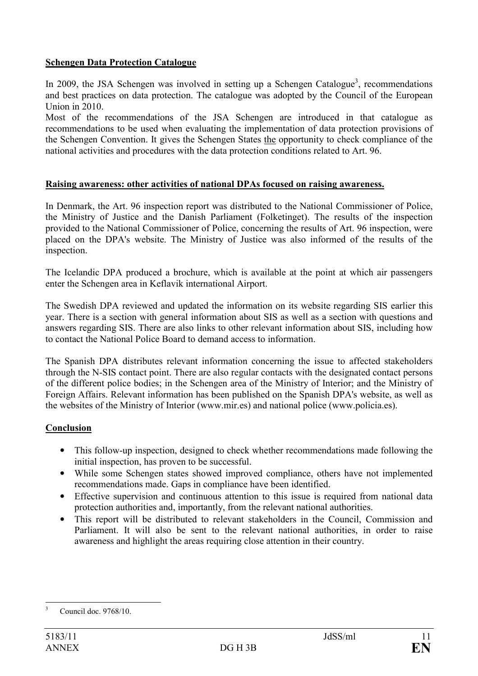### Schengen Data Protection Catalogue

In 2009, the JSA Schengen was involved in setting up a Schengen Catalogue<sup>3</sup>, recommendations and best practices on data protection. The catalogue was adopted by the Council of the European Union in 2010.

Most of the recommendations of the JSA Schengen are introduced in that catalogue as recommendations to be used when evaluating the implementation of data protection provisions of the Schengen Convention. It gives the Schengen States the opportunity to check compliance of the national activities and procedures with the data protection conditions related to Art. 96.

#### Raising awareness: other activities of national DPAs focused on raising awareness.

In Denmark, the Art. 96 inspection report was distributed to the National Commissioner of Police, the Ministry of Justice and the Danish Parliament (Folketinget). The results of the inspection provided to the National Commissioner of Police, concerning the results of Art. 96 inspection, were placed on the DPA's website. The Ministry of Justice was also informed of the results of the inspection.

The Icelandic DPA produced a brochure, which is available at the point at which air passengers enter the Schengen area in Keflavik international Airport.

The Swedish DPA reviewed and updated the information on its website regarding SIS earlier this year. There is a section with general information about SIS as well as a section with questions and answers regarding SIS. There are also links to other relevant information about SIS, including how to contact the National Police Board to demand access to information.

The Spanish DPA distributes relevant information concerning the issue to affected stakeholders through the N-SIS contact point. There are also regular contacts with the designated contact persons of the different police bodies; in the Schengen area of the Ministry of Interior; and the Ministry of Foreign Affairs. Relevant information has been published on the Spanish DPA's website, as well as the websites of the Ministry of Interior (www.mir.es) and national police (www.policia.es).

## Conclusion

- This follow-up inspection, designed to check whether recommendations made following the initial inspection, has proven to be successful.
- While some Schengen states showed improved compliance, others have not implemented recommendations made. Gaps in compliance have been identified.
- Effective supervision and continuous attention to this issue is required from national data protection authorities and, importantly, from the relevant national authorities.
- This report will be distributed to relevant stakeholders in the Council, Commission and Parliament. It will also be sent to the relevant national authorities, in order to raise awareness and highlight the areas requiring close attention in their country.

<sup>&</sup>lt;sup>2</sup><br>3 Council doc. 9768/10.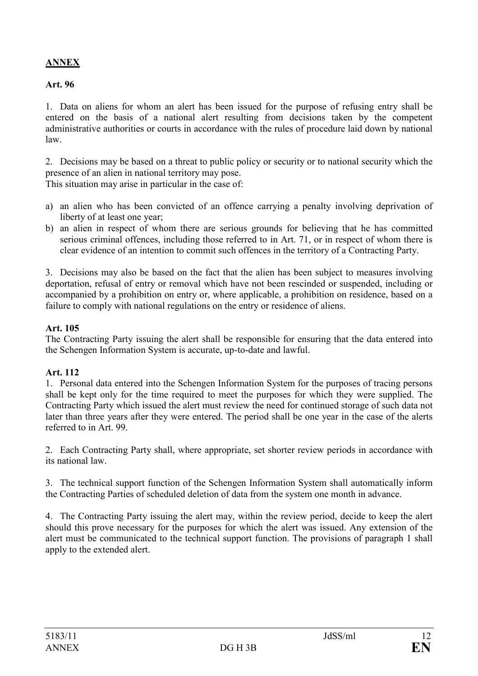# ANNEX

#### Art. 96

1. Data on aliens for whom an alert has been issued for the purpose of refusing entry shall be entered on the basis of a national alert resulting from decisions taken by the competent administrative authorities or courts in accordance with the rules of procedure laid down by national law.

2. Decisions may be based on a threat to public policy or security or to national security which the presence of an alien in national territory may pose.

This situation may arise in particular in the case of:

- a) an alien who has been convicted of an offence carrying a penalty involving deprivation of liberty of at least one year;
- b) an alien in respect of whom there are serious grounds for believing that he has committed serious criminal offences, including those referred to in Art. 71, or in respect of whom there is clear evidence of an intention to commit such offences in the territory of a Contracting Party.

3. Decisions may also be based on the fact that the alien has been subject to measures involving deportation, refusal of entry or removal which have not been rescinded or suspended, including or accompanied by a prohibition on entry or, where applicable, a prohibition on residence, based on a failure to comply with national regulations on the entry or residence of aliens.

#### Art. 105

The Contracting Party issuing the alert shall be responsible for ensuring that the data entered into the Schengen Information System is accurate, up-to-date and lawful.

## Art. 112

1. Personal data entered into the Schengen Information System for the purposes of tracing persons shall be kept only for the time required to meet the purposes for which they were supplied. The Contracting Party which issued the alert must review the need for continued storage of such data not later than three years after they were entered. The period shall be one year in the case of the alerts referred to in Art. 99.

2. Each Contracting Party shall, where appropriate, set shorter review periods in accordance with its national law.

3. The technical support function of the Schengen Information System shall automatically inform the Contracting Parties of scheduled deletion of data from the system one month in advance.

4. The Contracting Party issuing the alert may, within the review period, decide to keep the alert should this prove necessary for the purposes for which the alert was issued. Any extension of the alert must be communicated to the technical support function. The provisions of paragraph 1 shall apply to the extended alert.